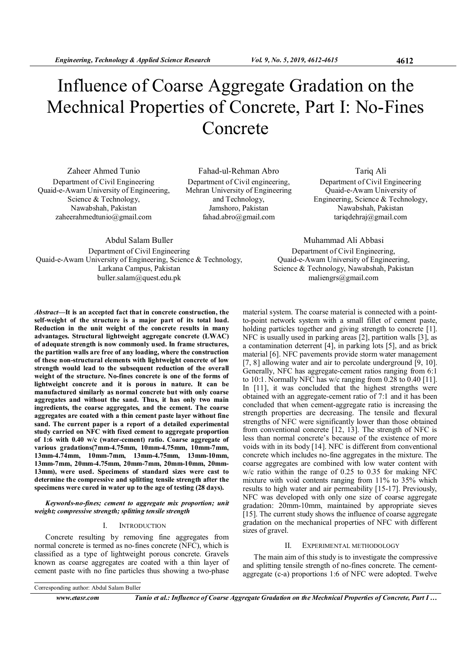# Influence of Coarse Aggregate Gradation on the Mechnical Properties of Concrete, Part I: No-Fines Concrete

Zaheer Ahmed Tunio Department of Civil Engineering Quaid-e-Awam University of Engineering, Science & Technology, Nawabshah, Pakistan zaheerahmedtunio@gmail.com

Fahad-ul-Rehman Abro Department of Civil engineering, Mehran University of Engineering and Technology, Jamshoro, Pakistan fahad.abro@gmail.com

Tariq Ali Department of Civil Engineering Quaid-e-Awam University of Engineering, Science & Technology, Nawabshah, Pakistan tariqdehraj@gmail.com

Muhammad Ali Abbasi Department of Civil Engineering, Quaid-e-Awam University of Engineering, Science & Technology, Nawabshah, Pakistan maliengrs@gmail.com

Abdul Salam Buller Department of Civil Engineering Quaid-e-Awam University of Engineering, Science & Technology, Larkana Campus, Pakistan buller.salam@quest.edu.pk

Abstract—It is an accepted fact that in concrete construction, the self-weight of the structure is a major part of its total load. Reduction in the unit weight of the concrete results in many advantages. Structural lightweight aggregate concrete (LWAC) of adequate strength is now commonly used. In frame structures, the partition walls are free of any loading, where the construction of these non-structural elements with lightweight concrete of low strength would lead to the subsequent reduction of the overall weight of the structure. No-fines concrete is one of the forms of lightweight concrete and it is porous in nature. It can be manufactured similarly as normal concrete but with only coarse aggregates and without the sand. Thus, it has only two main ingredients, the coarse aggregates, and the cement. The coarse aggregates are coated with a thin cement paste layer without fine sand. The current paper is a report of a detailed experimental study carried on NFC with fixed cement to aggregate proportion of 1:6 with 0.40 w/c (water-cement) ratio. Coarse aggregate of various gradations(7mm-4.75mm, 10mm-4.75mm, 10mm-7mm, 13mm-4.74mm, 10mm-7mm, 13mm-4.75mm, 13mm-10mm, 13mm-7mm, 20mm-4.75mm, 20mm-7mm, 20mm-10mm, 20mm-13mm), were used. Specimens of standard sizes were cast to determine the compressive and splitting tensile strength after the specimens were cured in water up to the age of testing (28 days).

Keywords-no-fines; cement to aggregate mix proportion; unit weight; compressive strength; splitting tensile strength

#### I. INTRODUCTION

Concrete resulting by removing fine aggregates from normal concrete is termed as no-fines concrete (NFC), which is classified as a type of lightweight porous concrete. Gravels known as coarse aggregates are coated with a thin layer of cement paste with no fine particles thus showing a two-phase

material system. The coarse material is connected with a pointto-point network system with a small fillet of cement paste, holding particles together and giving strength to concrete [1]. NFC is usually used in parking areas [2], partition walls [3], as a contamination deterrent [4], in parking lots [5], and as brick material [6]. NFC pavements provide storm water management [7, 8] allowing water and air to percolate underground [9, 10]. Generally, NFC has aggregate-cement ratios ranging from 6:1 to 10:1. Normally NFC has w/c ranging from 0.28 to 0.40 [11]. In [11], it was concluded that the highest strengths were obtained with an aggregate-cement ratio of 7:1 and it has been concluded that when cement-aggregate ratio is increasing the strength properties are decreasing. The tensile and flexural strengths of NFC were significantly lower than those obtained from conventional concrete [12, 13]. The strength of NFC is less than normal concrete's because of the existence of more voids with in its body [14]. NFC is different from conventional concrete which includes no-fine aggregates in the mixture. The coarse aggregates are combined with low water content with w/c ratio within the range of 0.25 to 0.35 for making NFC mixture with void contents ranging from 11% to 35% which results to high water and air permeability [15-17]. Previously, NFC was developed with only one size of coarse aggregate gradation: 20mm-10mm, maintained by appropriate sieves [15]. The current study shows the influence of coarse aggregate gradation on the mechanical properties of NFC with different sizes of gravel.

#### II. EXPERIMENTAL METHODOLOGY

The main aim of this study is to investigate the compressive and splitting tensile strength of no-fines concrete. The cementaggregate (c-a) proportions 1:6 of NFC were adopted. Twelve

www.etasr.com Tunio et al.: Influence of Coarse Aggregate Gradation on the Mechnical Properties of Concrete, Part I ...

Corresponding author: Abdul Salam Buller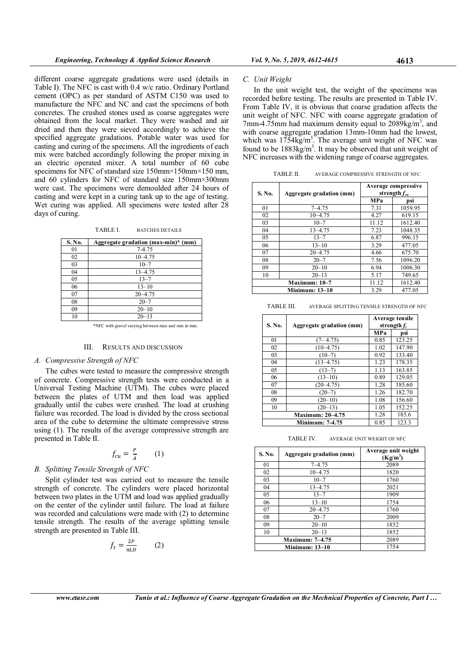different coarse aggregate gradations were used (details in Table I). The NFC is cast with 0.4 w/c ratio. Ordinary Portland cement (OPC) as per standard of ASTM C150 was used to manufacture the NFC and NC and cast the specimens of both concretes. The crushed stones used as coarse aggregates were obtained from the local market. They were washed and air dried and then they were sieved accordingly to achieve the specified aggregate gradations. Potable water was used for casting and curing of the specimens. All the ingredients of each mix were batched accordingly following the proper mixing in an electric operated mixer. A total number of 60 cube specimens for NFC of standard size 150mm×150mm×150 mm, and 60 cylinders for NFC of standard size 150mm×300mm were cast. The specimens were demoulded after 24 hours of casting and were kept in a curing tank up to the age of testing. Wet curing was applied. All specimens were tested after 28 days of curing.

TABLE I. BATCHES DETAILS

| S. No. | Aggregate gradation (max-min)* (mm) |
|--------|-------------------------------------|
| 01     | 7-4.75                              |
| 02     | $10 - 4.75$                         |
| 03     | $10 - 7$                            |
| 04     | $13 - 4.75$                         |
| 05     | $13 - 7$                            |
| 06     | $13 - 10$                           |
| 07     | $20 - 4.75$                         |
| 08     | $20 - 7$                            |
| 09     | $20 - 10$                           |
| 10     | $20 - 13$                           |

\*NFC with gravel varying between max and min in mm.

# III. RESULTS AND DISCUSSION

# A. Compressive Strength of NFC

The cubes were tested to measure the compressive strength of concrete. Compressive strength tests were conducted in a Universal Testing Machine (UTM). The cubes were placed between the plates of UTM and then load was applied gradually until the cubes were crushed. The load at crushing failure was recorded. The load is divided by the cross sectional area of the cube to determine the ultimate compressive stress using (1). The results of the average compressive strength are presented in Table II.

$$
f_{cu} = \frac{P}{A} \qquad (1)
$$

## B. Splitting Tensile Strength of NFC

Split cylinder test was carried out to measure the tensile strength of concrete. The cylinders were placed horizontal between two plates in the UTM and load was applied gradually on the center of the cylinder until failure. The load at failure was recorded and calculations were made with (2) to determine tensile strength. The results of the average splitting tensile strength are presented in Table III.

$$
f_t = \frac{2P}{\pi LD} \qquad (2)
$$

### C. Unit Weight

In the unit weight test, the weight of the specimens was recorded before testing. The results are presented in Table IV. From Table IV, it is obvious that coarse gradation affects the unit weight of NFC. NFC with coarse aggregate gradation of 7mm-4.75mm had maximum density equal to  $2089 \text{kg/m}^3$ , and with coarse aggregate gradation 13mm-10mm had the lowest, which was  $1754\text{kg/m}^3$ . The average unit weight of NFC was found to be 1883kg/m<sup>3</sup>. It may be observed that unit weight of NFC increases with the widening range of coarse aggregates.

| TABLE II. | AVERAGE COMPRESSIVE STRENGTH OF NFC |
|-----------|-------------------------------------|
|           |                                     |

| S. No.                | Aggregate gradation (mm) | Average compressive<br>strength $f_{cu}$ |         |
|-----------------------|--------------------------|------------------------------------------|---------|
|                       |                          | MPa                                      | psi     |
| 01                    | $7 - 4.75$               | 7.31                                     | 1059.95 |
| 02                    | $10 - 4.75$              | 4.27                                     | 619.15  |
| 03                    | $10 - 7$                 | 11.12                                    | 1612.40 |
| 04                    | $13 - 4.75$              | 7.23                                     | 1048.35 |
| 05                    | $13 - 7$                 | 6.87                                     | 996.15  |
| 06                    | $13 - 10$                | 3.29                                     | 477.05  |
| 07                    | $20 - 4.75$              | 4.66                                     | 675.70  |
| 08                    | $20 - 7$                 | 7.56                                     | 1096.20 |
| 09                    | $20 - 10$                | 6.94                                     | 1006.30 |
| 10                    | $20 - 13$                | 5.17                                     | 749.65  |
| Maximum: 10-7         |                          | 11.12                                    | 1612.40 |
| <b>Minimum: 13-10</b> |                          | 3.29                                     | 477.05  |

TABLE III. AVERAGE SPLITTING TENSILE STRENGTH OF NFC

| S. No.                  | Aggregate gradation (mm) | Average tensile<br>strength $f_t$ |        |
|-------------------------|--------------------------|-----------------------------------|--------|
|                         |                          | <b>MPa</b>                        | psi    |
| 01                      | $(7 - 4.75)$             | 0.85                              | 123.25 |
| 02                      | $(10-4.75)$              | 1.02                              | 147.90 |
| 03                      | $(10-7)$                 | 0.92                              | 133.40 |
| 04                      | $(13-4.75)$              | 1.23                              | 178.35 |
| 05                      | $(13-7)$                 | 1.13                              | 163.85 |
| 06                      | $(13-10)$                | 0.89                              | 129.05 |
| 07                      | $(20-4.75)$              | 1.28                              | 185.60 |
| 08                      | $(20-7)$                 | 1.26                              | 182.70 |
| 09                      | $(20-10)$                | 1.08                              | 156.60 |
| 10                      | $(20-13)$                | 1.05                              | 152.25 |
| <b>Maximum: 20–4.75</b> |                          | 1.28                              | 185.6  |
| <b>Minimum: 7-4.75</b>  |                          | 0.85                              | 123.3  |

TABLE IV. AVERAGE UNIT WEIGHT OF NFC

| S. No.                 | Aggregate gradation (mm) | Average unit weight<br>$(Kg/m^3)$ |
|------------------------|--------------------------|-----------------------------------|
| 01                     | $7 - 4.75$               | 2089                              |
| 02                     | $10 - 4.75$              | 1820                              |
| 03                     | $10 - 7$                 | 1760                              |
| 04                     | $13 - 4.75$              | 2021                              |
| 05                     | $13 - 7$                 | 1909                              |
| 06                     | $13 - 10$                | 1754                              |
| 07                     | $20 - 4.75$              | 1760                              |
| 08                     | $20 - 7$                 | 2009                              |
| 09                     | $20 - 10$                | 1852                              |
| 10                     | $20 - 13$                | 1852                              |
| <b>Maximum: 7-4.75</b> |                          | 2089                              |
| <b>Minimum: 13-10</b>  |                          | 1754                              |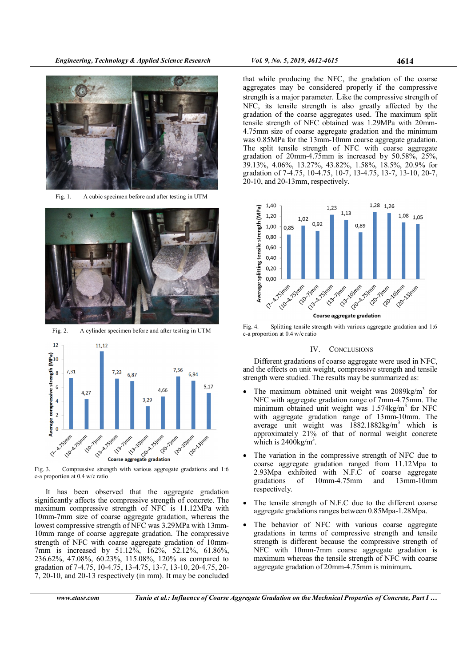Engineering, Technology & Applied Science Research Vol. 9, No. 5, 2019, 4612-4615 4614



Fig. 1. A cubic specimen before and after testing in UTM



Fig. 2. A cylinder specimen before and after testing in UTM



Fig. 3. Compressive strength with various aggregate gradations and 1:6 c-a proportion at 0.4 w/c ratio

It has been observed that the aggregate gradation significantly affects the compressive strength of concrete. The maximum compressive strength of NFC is 11.12MPa with 10mm-7mm size of coarse aggregate gradation, whereas the lowest compressive strength of NFC was 3.29MPa with 13mm-10mm range of coarse aggregate gradation. The compressive strength of NFC with coarse aggregate gradation of 10mm-7mm is increased by 51.12%, 162%, 52.12%, 61.86%, 236.62%, 47.08%, 60.23%, 115.08%, 120% as compared to gradation of 7-4.75, 10-4.75, 13-4.75, 13-7, 13-10, 20-4.75, 20- 7, 20-10, and 20-13 respectively (in mm). It may be concluded

that while producing the NFC, the gradation of the coarse aggregates may be considered properly if the compressive strength is a major parameter. Like the compressive strength of NFC, its tensile strength is also greatly affected by the gradation of the coarse aggregates used. The maximum split tensile strength of NFC obtained was 1.29MPa with 20mm-4.75mm size of coarse aggregate gradation and the minimum was 0.85MPa for the 13mm-10mm coarse aggregate gradation. The split tensile strength of NFC with coarse aggregate gradation of 20mm-4.75mm is increased by 50.58%, 25%, 39.13%, 4.06%, 13.27%, 43.82%, 1.58%, 18.5%, 20.9% for gradation of 7-4.75, 10-4.75, 10-7, 13-4.75, 13-7, 13-10, 20-7, 20-10, and 20-13mm, respectively.



Fig. 4. Splitting tensile strength with various aggregate gradation and 1:6 c-a proportion at 0.4 w/c ratio

# IV. CONCLUSIONS

Different gradations of coarse aggregate were used in NFC, and the effects on unit weight, compressive strength and tensile strength were studied. The results may be summarized as:

- The maximum obtained unit weight was 2089kg/m<sup>3</sup> for NFC with aggregate gradation range of 7mm-4.75mm. The minimum obtained unit weight was  $1.574$ kg/m<sup>3</sup> for NFC with aggregate gradation range of 13mm-10mm. The average unit weight was 1882.1882kg/m<sup>3</sup> which is approximately 21% of that of normal weight concrete which is  $2400$ kg/m<sup>3</sup>.
- The variation in the compressive strength of NFC due to coarse aggregate gradation ranged from 11.12Mpa to 2.93Mpa exhibited with N.F.C of coarse aggregate gradations of 10mm-4.75mm and 13mm-10mm respectively.
- The tensile strength of N.F.C due to the different coarse aggregate gradations ranges between 0.85Mpa-1.28Mpa.
- The behavior of NFC with various coarse aggregate gradations in terms of compressive strength and tensile strength is different because the compressive strength of NFC with 10mm-7mm coarse aggregate gradation is maximum whereas the tensile strength of NFC with coarse aggregate gradation of 20mm-4.75mm is minimum.